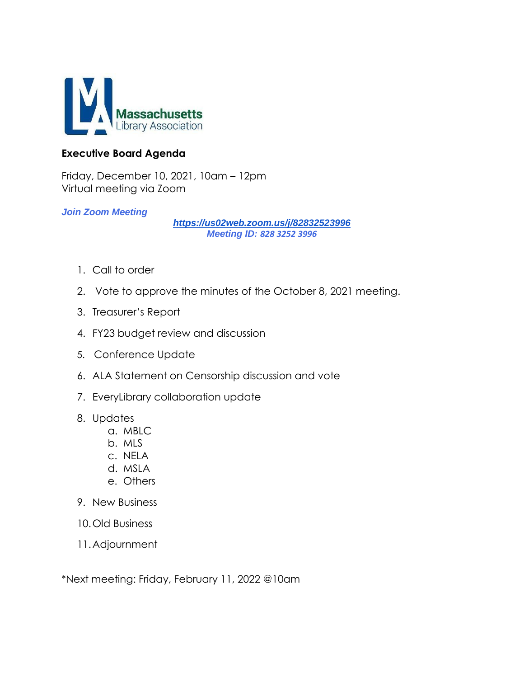

### **Executive Board Agenda**

Friday, December 10, 2021, 10am – 12pm Virtual meeting via Zoom

### *Join Zoom Meeting*

*<https://us02web.zoom.us/j/82832523996> Meeting ID: 828 3252 3996*

- 1. Call to order
- 2. Vote to approve the minutes of the October 8, 2021 meeting.
- 3. Treasurer's Report
- 4. FY23 budget review and discussion
- 5. Conference Update
- 6. ALA Statement on Censorship discussion and vote
- 7. EveryLibrary collaboration update
- 8. Updates
	- a. MBLC
	- b. MLS
	- c. NELA
	- d. MSLA
	- e. Others
- 9. New Business
- 10.Old Business
- 11.Adjournment

\*Next meeting: Friday, February 11, 2022 @10am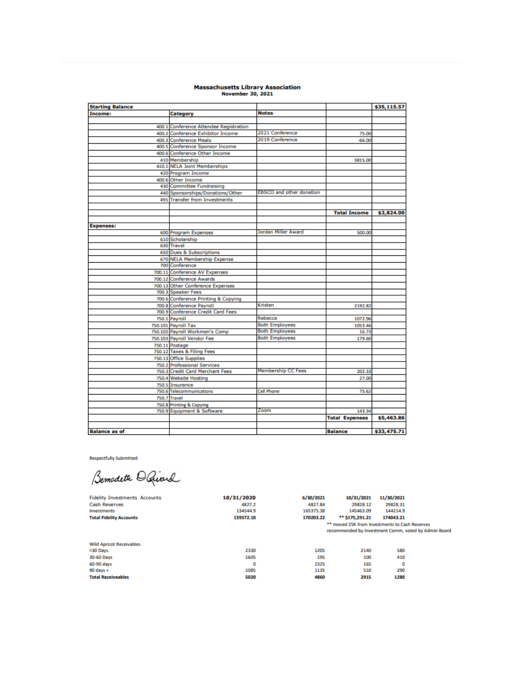# Massachusetts Library Association<br>November 30, 2021

| <b>Starting Balance</b> |                                        |                                 |                       | \$35,115.57 |
|-------------------------|----------------------------------------|---------------------------------|-----------------------|-------------|
| Income:                 | Category                               | <b>Notes</b>                    |                       |             |
|                         |                                        |                                 |                       |             |
|                         | 400.1 Conference Attendee Registration |                                 |                       |             |
|                         | 400.2 Conference Exhibitor Income      | 2021 Conference                 | 75.00                 |             |
|                         | 400.3 Conference Meals                 | 2019 Conference                 | $-66.00$              |             |
|                         | 400.5 Conference Sponsor Income        |                                 |                       |             |
|                         | 400.6 Conference Other Income          |                                 |                       |             |
|                         | 410 Membership                         |                                 | 3815.00               |             |
|                         | 410.1 NELA Joint Memberships           |                                 |                       |             |
|                         | 420 Program Income                     |                                 |                       |             |
|                         | 400.6 Other Income                     |                                 |                       |             |
|                         | 430 Committee Fundraising              |                                 |                       |             |
|                         | 440 Sponsorships/Donations/Other       | <b>EBSCO</b> and other donation |                       |             |
|                         | 491 Transfer from Investments          |                                 |                       |             |
|                         |                                        |                                 |                       |             |
|                         |                                        |                                 | <b>Total Income</b>   | \$3,824.00  |
|                         |                                        |                                 |                       |             |
| <b>Expenses:</b>        |                                        |                                 |                       |             |
|                         | 600 Program Expenses                   | Jordan Miller Award             | 500.00                |             |
|                         | 610 Scholarship                        |                                 |                       |             |
|                         | 630 Travel                             |                                 |                       |             |
|                         | <b>650 Dues &amp; Subscriptions</b>    |                                 |                       |             |
|                         | 670 NELA Membership Expense            |                                 |                       |             |
|                         | 700 Conference                         |                                 |                       |             |
|                         | 700.11 Conference AV Expenses          |                                 |                       |             |
|                         | 700.12 Conference Awards               |                                 |                       |             |
|                         | 700.13 Other Conference Expenses       |                                 |                       |             |
|                         | 700.3 Speaker Fees                     |                                 |                       |             |
|                         | 700.6 Conference Printing & Copying    |                                 |                       |             |
|                         | 700.8 Conference Payroll               | Kristen                         | 2192.82               |             |
|                         | 700.9 Conference Credit Card Fees      |                                 |                       |             |
|                         | 750.1 Payroll                          | Rebecca                         | 1072.96               |             |
|                         | 750.101 Payroll Tax                    | <b>Both Employees</b>           | 1053.46               |             |
|                         | 750.102 Payroll Workmen's Comp         | <b>Both Employees</b>           | 16.73                 |             |
|                         | 750.103 Payroll Vendor Fee             | <b>Both Employees</b>           | 179.60                |             |
|                         | 750.11 Postage                         |                                 |                       |             |
|                         | 750.12 Taxes & Filing Fees             |                                 |                       |             |
|                         | 750.13 Office Supplies                 |                                 |                       |             |
|                         | 750.2 Professional Services            |                                 |                       |             |
|                         | 750.3 Credit Card Merchant Fees        | <b>Membership CC Fees</b>       | 202.33                |             |
|                         | 750.4 Website Hosting                  |                                 | 27.00                 |             |
|                         | 750.5 Insurance                        |                                 |                       |             |
|                         | 750.6 Telecommunications               | <b>Cell Phone</b>               | 75.62                 |             |
|                         | 750.7 Travel                           |                                 |                       |             |
|                         | 750.8 Printing & Copying               |                                 |                       |             |
|                         | 750.9 Equipment & Software             | Zoom                            | 143.34                |             |
|                         |                                        |                                 | <b>Total Expenses</b> | \$5,463.86  |
|                         |                                        |                                 |                       |             |
| <b>Balance as of</b>    |                                        |                                 | <b>Balance</b>        | \$33,475.71 |

**Respectfully Submitted:** 

Bemodeth O Quard

| <b>Fidelity Investments Accounts</b> | 10/31/2020 | 6/30/2021 | 10/31/2021                                                                                             | 11/30/2021 |  |
|--------------------------------------|------------|-----------|--------------------------------------------------------------------------------------------------------|------------|--|
| <b>Cash Reserves</b>                 | 4827.2     | 4827.84   | 29828.12                                                                                               | 29828.31   |  |
| Investments                          | 134544.9   | 165375.38 | 145463.09                                                                                              | 144214.9   |  |
| <b>Total Fidelity Accounts</b>       | 139372.10  | 170203.22 | ** \$175,291.21                                                                                        | 174043.21  |  |
|                                      |            |           | ** moved 25K from Investments to Cash Reserves<br>recommended by Investment Comm, voted by Admin Board |            |  |
| <b>Wild Apricot Receivables</b>      |            |           |                                                                                                        |            |  |
| <30 Days                             | 2330       | 1205      | 2140                                                                                                   | 580        |  |
| 30-60 Days                           | 1605       | 195       | 100                                                                                                    | 410        |  |
| 60-90 days                           | ٥          | 2325      | 165                                                                                                    | ٥          |  |
| $90$ days $+$                        | 1085       | 1135      | 510                                                                                                    | 290        |  |
| <b>Total Receiveables</b>            | 5020       | 4860      | 2915                                                                                                   | 1280       |  |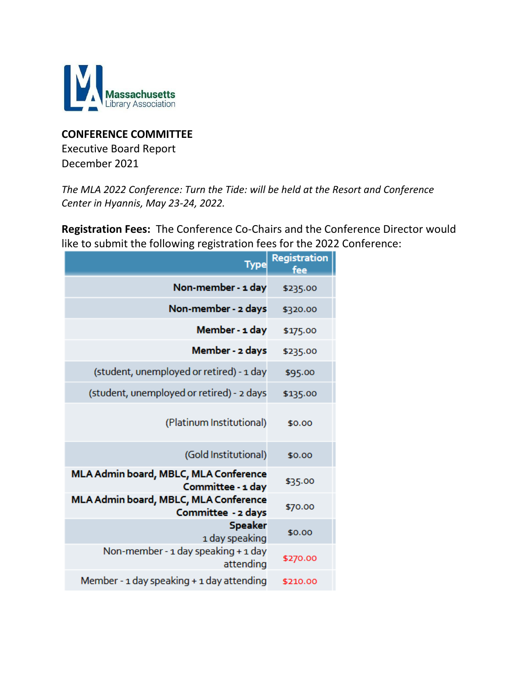

### **CONFERENCE COMMITTEE**

Executive Board Report December 2021

*The MLA 2022 Conference: Turn the Tide: will be held at the Resort and Conference Center in Hyannis, May 23-24, 2022.*

**Registration Fees:** The Conference Co-Chairs and the Conference Director would like to submit the following registration fees for the 2022 Conference:

| <b>Type</b>                                                 | Registration<br>foe |
|-------------------------------------------------------------|---------------------|
| Non-member - 1 day                                          | \$235.00            |
| Non-member - 2 days                                         | \$320.00            |
| Member - 1 day                                              | \$175.00            |
| Member - 2 days                                             | \$235.00            |
| (student, unemployed or retired) - 1 day                    | \$95.00             |
| (student, unemployed or retired) - 2 days                   | \$135.00            |
| (Platinum Institutional)                                    | \$0.00              |
| (Gold Institutional)                                        | \$0.00              |
| MLA Admin board, MBLC, MLA Conference<br>Committee - 1 day  | \$35.00             |
| MLA Admin board, MBLC, MLA Conference<br>Committee - 2 days | \$70.00             |
| <b>Speaker</b><br>1 day speaking                            | \$0.00              |
| Non-member - 1 day speaking + 1 day<br>attending            | \$270.00            |
| Member - 1 day speaking + 1 day attending                   | \$210.00            |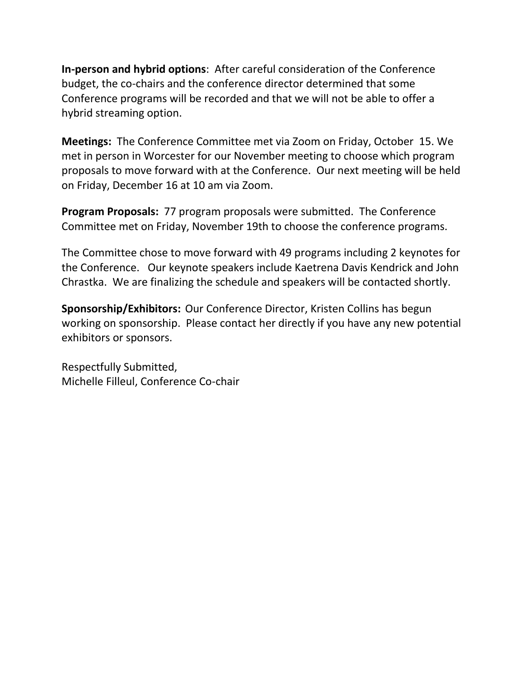**In-person and hybrid options**: After careful consideration of the Conference budget, the co-chairs and the conference director determined that some Conference programs will be recorded and that we will not be able to offer a hybrid streaming option.

**Meetings:** The Conference Committee met via Zoom on Friday, October 15. We met in person in Worcester for our November meeting to choose which program proposals to move forward with at the Conference. Our next meeting will be held on Friday, December 16 at 10 am via Zoom.

**Program Proposals:** 77 program proposals were submitted. The Conference Committee met on Friday, November 19th to choose the conference programs.

The Committee chose to move forward with 49 programs including 2 keynotes for the Conference. Our keynote speakers include Kaetrena Davis Kendrick and John Chrastka. We are finalizing the schedule and speakers will be contacted shortly.

**Sponsorship/Exhibitors:** Our Conference Director, Kristen Collins has begun working on sponsorship. Please contact her directly if you have any new potential exhibitors or sponsors.

Respectfully Submitted, Michelle Filleul, Conference Co-chair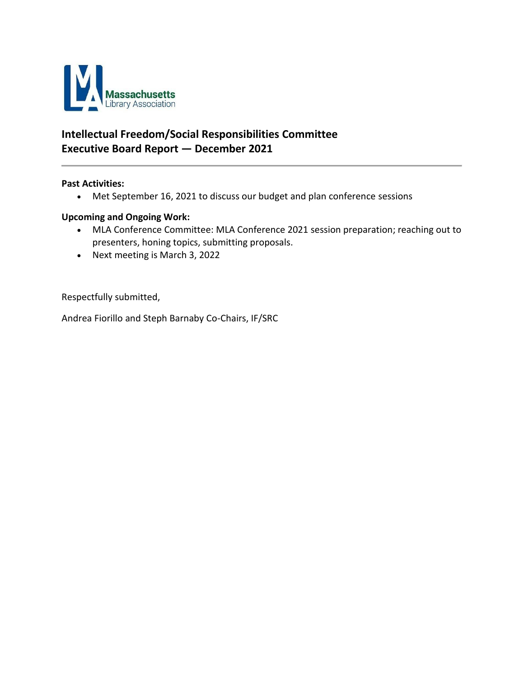

## **Intellectual Freedom/Social Responsibilities Committee Executive Board Report — December 2021**

#### **Past Activities:**

• Met September 16, 2021 to discuss our budget and plan conference sessions

#### **Upcoming and Ongoing Work:**

- MLA Conference Committee: MLA Conference 2021 session preparation; reaching out to presenters, honing topics, submitting proposals.
- Next meeting is March 3, 2022

Respectfully submitted,

Andrea Fiorillo and Steph Barnaby Co-Chairs, IF/SRC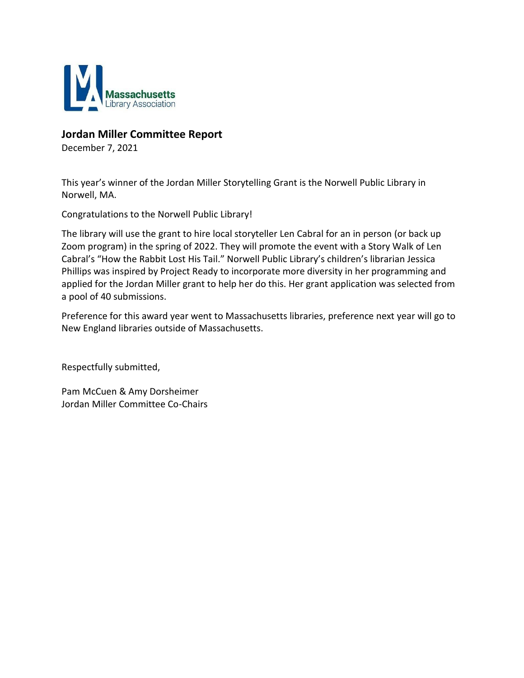

### **Jordan Miller Committee Report**

December 7, 2021

This year's winner of the Jordan Miller Storytelling Grant is the Norwell Public Library in Norwell, MA.

Congratulations to the Norwell Public Library!

The library will use the grant to hire local storyteller Len Cabral for an in person (or back up Zoom program) in the spring of 2022. They will promote the event with a Story Walk of Len Cabral's "How the Rabbit Lost His Tail." Norwell Public Library's children's librarian Jessica Phillips was inspired by Project Ready to incorporate more diversity in her programming and applied for the Jordan Miller grant to help her do this. Her grant application was selected from a pool of 40 submissions.

Preference for this award year went to Massachusetts libraries, preference next year will go to New England libraries outside of Massachusetts.

Respectfully submitted,

Pam McCuen & Amy Dorsheimer Jordan Miller Committee Co-Chairs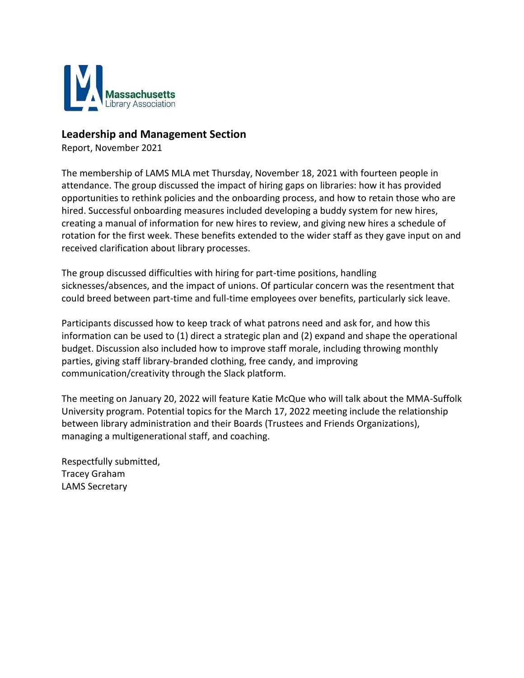

#### **Leadership and Management Section**

Report, November 2021

The membership of LAMS MLA met Thursday, November 18, 2021 with fourteen people in attendance. The group discussed the impact of hiring gaps on libraries: how it has provided opportunities to rethink policies and the onboarding process, and how to retain those who are hired. Successful onboarding measures included developing a buddy system for new hires, creating a manual of information for new hires to review, and giving new hires a schedule of rotation for the first week. These benefits extended to the wider staff as they gave input on and received clarification about library processes.

The group discussed difficulties with hiring for part-time positions, handling sicknesses/absences, and the impact of unions. Of particular concern was the resentment that could breed between part-time and full-time employees over benefits, particularly sick leave.

Participants discussed how to keep track of what patrons need and ask for, and how this information can be used to (1) direct a strategic plan and (2) expand and shape the operational budget. Discussion also included how to improve staff morale, including throwing monthly parties, giving staff library-branded clothing, free candy, and improving communication/creativity through the Slack platform.

The meeting on January 20, 2022 will feature Katie McQue who will talk about the MMA-Suffolk University program. Potential topics for the March 17, 2022 meeting include the relationship between library administration and their Boards (Trustees and Friends Organizations), managing a multigenerational staff, and coaching.

Respectfully submitted, Tracey Graham LAMS Secretary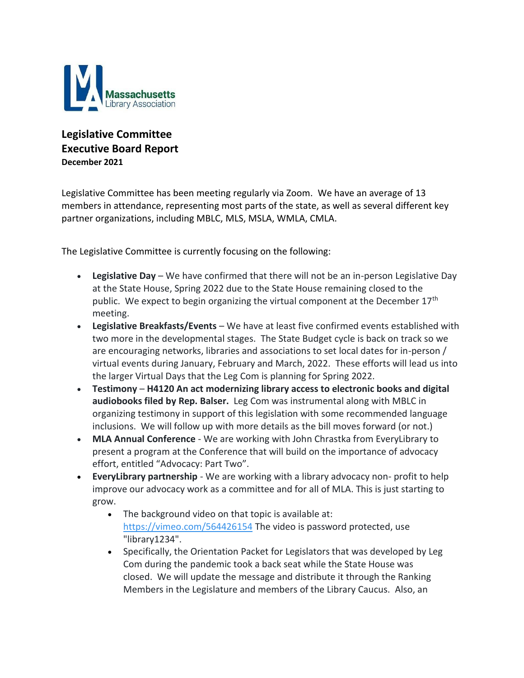

### **Legislative Committee Executive Board Report December 2021**

Legislative Committee has been meeting regularly via Zoom. We have an average of 13 members in attendance, representing most parts of the state, as well as several different key partner organizations, including MBLC, MLS, MSLA, WMLA, CMLA.

The Legislative Committee is currently focusing on the following:

- **Legislative Day** We have confirmed that there will not be an in-person Legislative Day at the State House, Spring 2022 due to the State House remaining closed to the public. We expect to begin organizing the virtual component at the December 17<sup>th</sup> meeting.
- **Legislative Breakfasts/Events**  We have at least five confirmed events established with two more in the developmental stages. The State Budget cycle is back on track so we are encouraging networks, libraries and associations to set local dates for in-person / virtual events during January, February and March, 2022. These efforts will lead us into the larger Virtual Days that the Leg Com is planning for Spring 2022.
- **Testimony H4120 An act modernizing library access to electronic books and digital audiobooks filed by Rep. Balser.** Leg Com was instrumental along with MBLC in organizing testimony in support of this legislation with some recommended language inclusions. We will follow up with more details as the bill moves forward (or not.)
- **MLA Annual Conference** We are working with John Chrastka from EveryLibrary to present a program at the Conference that will build on the importance of advocacy effort, entitled "Advocacy: Part Two".
- **EveryLibrary partnership**  We are working with a library advocacy non- profit to help improve our advocacy work as a committee and for all of MLA. This is just starting to grow.
	- The background video on that topic is available at: <https://vimeo.com/564426154> The video is password protected, use "library1234".
	- Specifically, the Orientation Packet for Legislators that was developed by Leg Com during the pandemic took a back seat while the State House was closed. We will update the message and distribute it through the Ranking Members in the Legislature and members of the Library Caucus. Also, an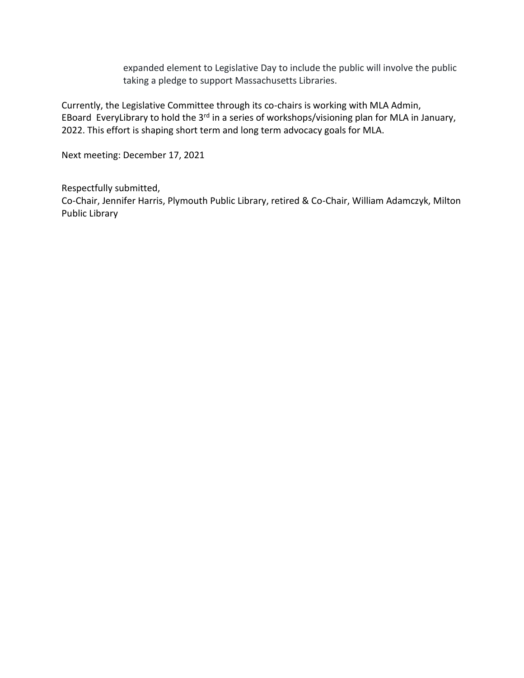expanded element to Legislative Day to include the public will involve the public taking a pledge to support Massachusetts Libraries.

Currently, the Legislative Committee through its co-chairs is working with MLA Admin, EBoard EveryLibrary to hold the 3<sup>rd</sup> in a series of workshops/visioning plan for MLA in January, 2022. This effort is shaping short term and long term advocacy goals for MLA.

Next meeting: December 17, 2021

Respectfully submitted,

Co-Chair, Jennifer Harris, Plymouth Public Library, retired & Co-Chair, William Adamczyk, Milton Public Library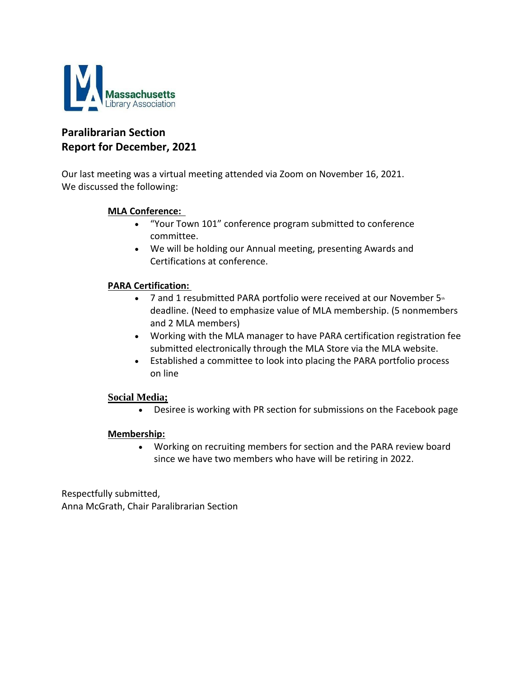

### **Paralibrarian Section Report for December, 2021**

Our last meeting was a virtual meeting attended via Zoom on November 16, 2021.   We discussed the following:

#### **MLA Conference:**

- "Your Town 101" conference program submitted to conference committee.
- We will be holding our Annual meeting, presenting Awards and Certifications at conference.

#### **PARA Certification:**

- 7 and 1 resubmitted PARA portfolio were received at our November  $5<sup>th</sup>$ deadline. (Need to emphasize value of MLA membership. (5 nonmembers and 2 MLA members)
- Working with the MLA manager to have PARA certification registration fee submitted electronically through the MLA Store via the MLA website.
- Established a committee to look into placing the PARA portfolio process on line

#### **Social Media;**

• Desiree is working with PR section for submissions on the Facebook page

#### **Membership:**

• Working on recruiting members for section and the PARA review board since we have two members who have will be retiring in 2022.

Respectfully submitted,     Anna McGrath, Chair Paralibrarian Section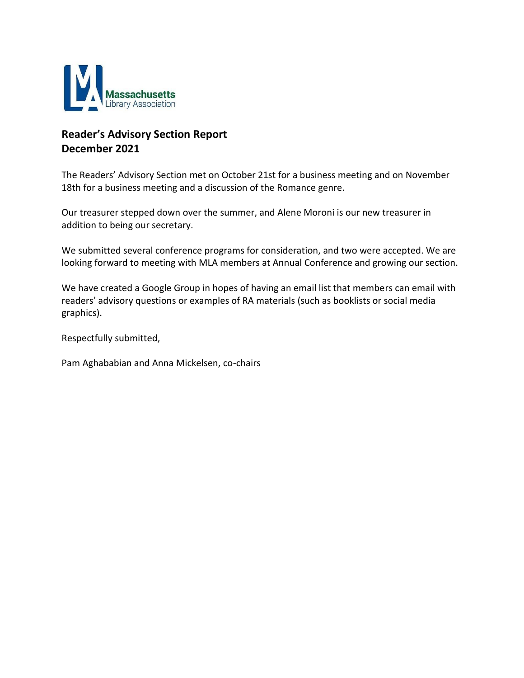

## **Reader's Advisory Section Report December 2021**

The Readers' Advisory Section met on October 21st for a business meeting and on November 18th for a business meeting and a discussion of the Romance genre.

Our treasurer stepped down over the summer, and Alene Moroni is our new treasurer in addition to being our secretary.

We submitted several conference programs for consideration, and two were accepted. We are looking forward to meeting with MLA members at Annual Conference and growing our section.

We have created a Google Group in hopes of having an email list that members can email with readers' advisory questions or examples of RA materials (such as booklists or social media graphics).

Respectfully submitted,

Pam Aghababian and Anna Mickelsen, co-chairs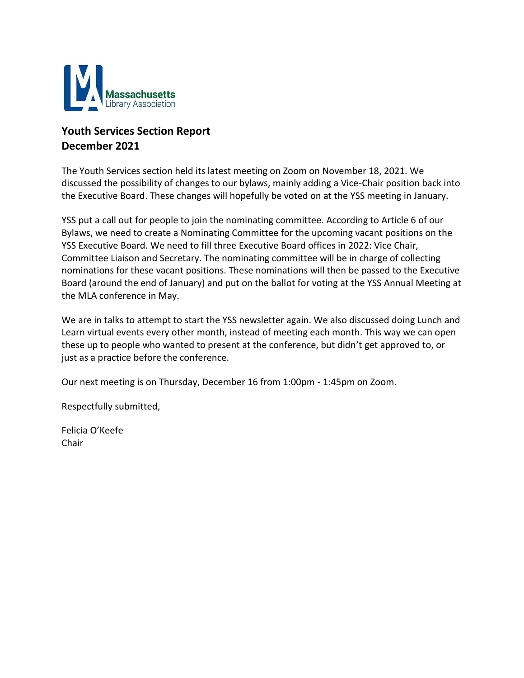

## **Youth Services Section Report December 2021**

The Youth Services section held its latest meeting on Zoom on November 18, 2021. We discussed the possibility of changes to our bylaws, mainly adding a Vice-Chair position back into the Executive Board. These changes will hopefully be voted on at the YSS meeting in January.

YSS put a call out for people to join the nominating committee. According to Article 6 of our Bylaws, we need to create a Nominating Committee for the upcoming vacant positions on the YSS Executive Board. We need to fill three Executive Board offices in 2022: Vice Chair, Committee Liaison and Secretary. The nominating committee will be in charge of collecting nominations for these vacant positions. These nominations will then be passed to the Executive Board (around the end of January) and put on the ballot for voting at the YSS Annual Meeting at the MLA conference in May.

We are in talks to attempt to start the YSS newsletter again. We also discussed doing Lunch and Learn virtual events every other month, instead of meeting each month. This way we can open these up to people who wanted to present at the conference, but didn't get approved to, or just as a practice before the conference.

Our next meeting is on Thursday, December 16 from 1:00pm - 1:45pm on Zoom.

Respectfully submitted,

Felicia O'Keefe Chair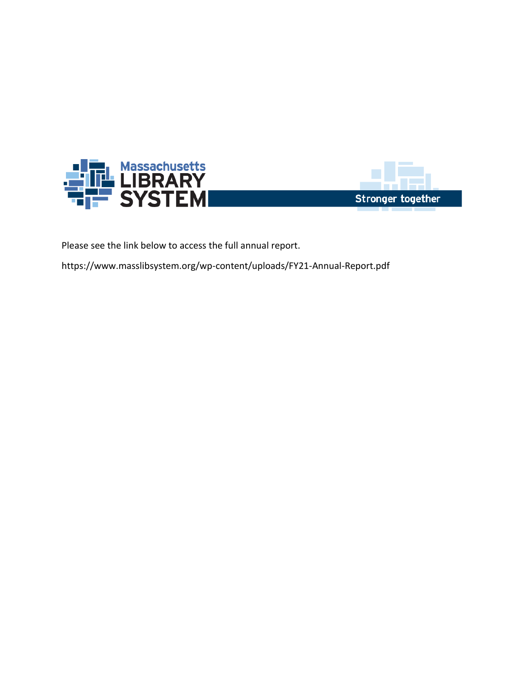



Please see the link below to access the full annual report.

https://www.masslibsystem.org/wp-content/uploads/FY21-Annual-Report.pdf